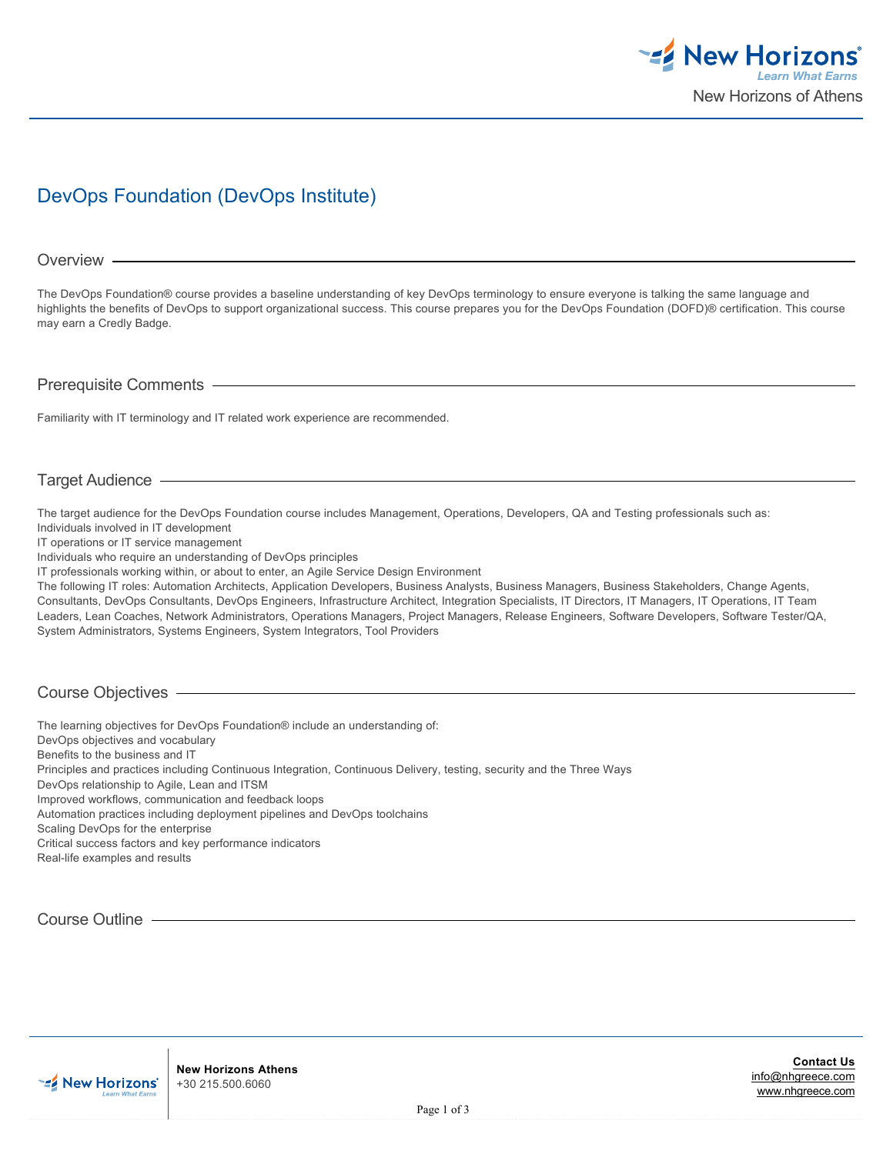

# DevOps Foundation (DevOps Institute)

#### Overview -

The DevOps Foundation® course provides a baseline understanding of key DevOps terminology to ensure everyone is talking the same language and highlights the benefits of DevOps to support organizational success. This course prepares you for the DevOps Foundation (DOFD)® certification. This course may earn a Credly Badge.

#### Prerequisite Comments

Familiarity with IT terminology and IT related work experience are recommended.

# Target Audience

The target audience for the DevOps Foundation course includes Management, Operations, Developers, QA and Testing professionals such as: Individuals involved in IT development

IT operations or IT service management

Individuals who require an understanding of DevOps principles

IT professionals working within, or about to enter, an Agile Service Design Environment

The following IT roles: Automation Architects, Application Developers, Business Analysts, Business Managers, Business Stakeholders, Change Agents, Consultants, DevOps Consultants, DevOps Engineers, Infrastructure Architect, Integration Specialists, IT Directors, IT Managers, IT Operations, IT Team Leaders, Lean Coaches, Network Administrators, Operations Managers, Project Managers, Release Engineers, Software Developers, Software Tester/QA, System Administrators, Systems Engineers, System Integrators, Tool Providers

## Course Objectives

The learning objectives for DevOps Foundation® include an understanding of: DevOps objectives and vocabulary Benefits to the business and IT Principles and practices including Continuous Integration, Continuous Delivery, testing, security and the Three Ways DevOps relationship to Agile, Lean and ITSM Improved workflows, communication and feedback loops Automation practices including deployment pipelines and DevOps toolchains Scaling DevOps for the enterprise Critical success factors and key performance indicators Real-life examples and results

Course Outline

**New Horizons Athens** +30 215.500.6060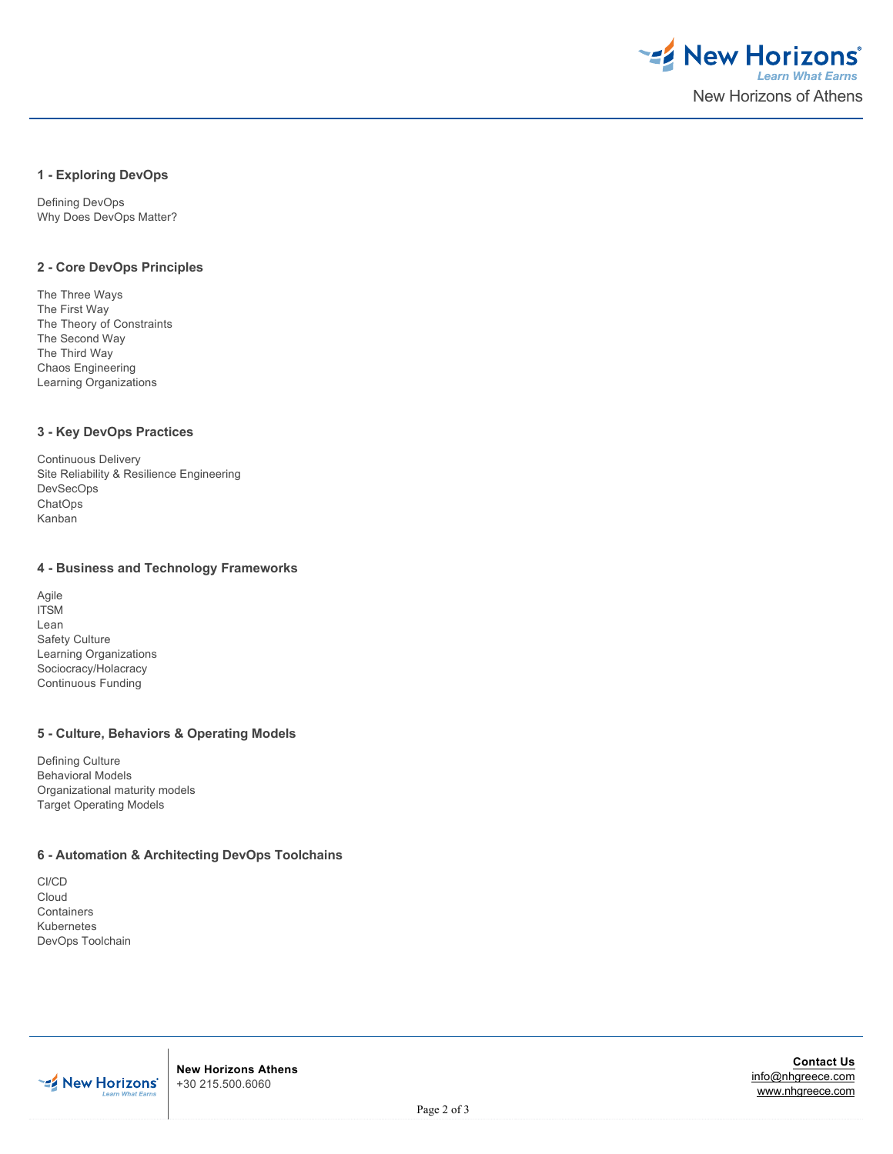

#### **1 - Exploring DevOps**

Defining DevOps Why Does DevOps Matter?

#### **2 - Core DevOps Principles**

The Three Ways The First Way The Theory of Constraints The Second Way The Third Way Chaos Engineering Learning Organizations

### **3 - Key DevOps Practices**

Continuous Delivery Site Reliability & Resilience Engineering DevSecOps **ChatOps** Kanban

#### **4 - Business and Technology Frameworks**

Agile **ITSM** Lean Safety Culture Learning Organizations Sociocracy/Holacracy Continuous Funding

### **5 - Culture, Behaviors & Operating Models**

Defining Culture Behavioral Models Organizational maturity models Target Operating Models

# **6 - Automation & Architecting DevOps Toolchains**

CI/CD Cloud Containers Kubernetes DevOps Toolchain



**New Horizons Athens** +30 215.500.6060

**Contact Us** [info@nhgreece.com](mailto:info@nhgreece.com) [www.nhgreece.com](http://www.nhgreece.com)